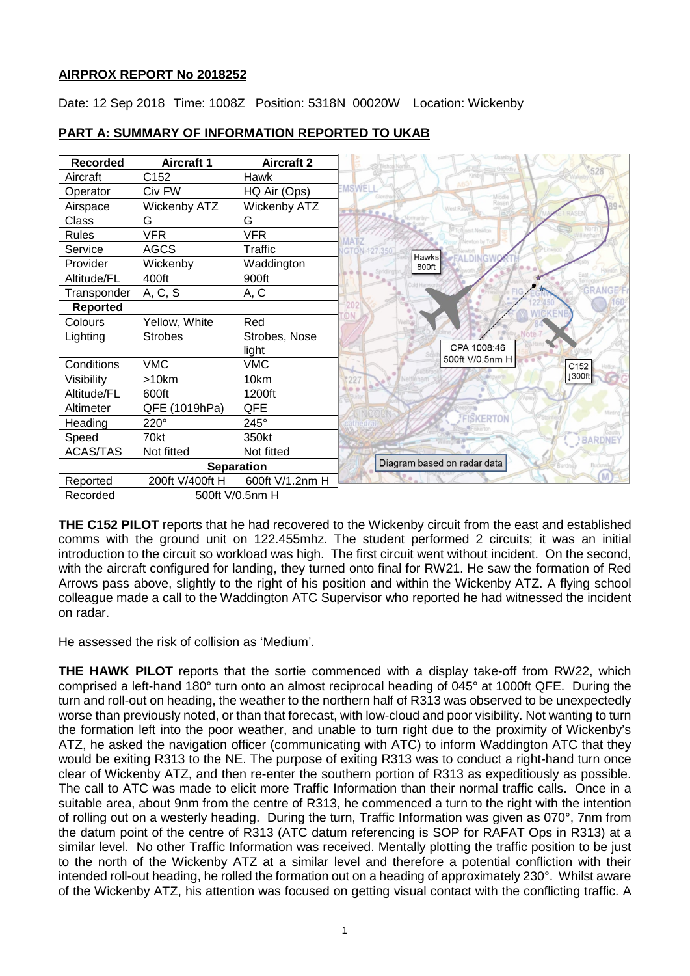## **AIRPROX REPORT No 2018252**

Date: 12 Sep 2018 Time: 1008Z Position: 5318N 00020W Location: Wickenby



## **PART A: SUMMARY OF INFORMATION REPORTED TO UKAB**

**THE C152 PILOT** reports that he had recovered to the Wickenby circuit from the east and established comms with the ground unit on 122.455mhz. The student performed 2 circuits; it was an initial introduction to the circuit so workload was high. The first circuit went without incident. On the second, with the aircraft configured for landing, they turned onto final for RW21. He saw the formation of Red Arrows pass above, slightly to the right of his position and within the Wickenby ATZ. A flying school colleague made a call to the Waddington ATC Supervisor who reported he had witnessed the incident on radar.

He assessed the risk of collision as 'Medium'.

**THE HAWK PILOT** reports that the sortie commenced with a display take-off from RW22, which comprised a left-hand 180° turn onto an almost reciprocal heading of 045° at 1000ft QFE. During the turn and roll-out on heading, the weather to the northern half of R313 was observed to be unexpectedly worse than previously noted, or than that forecast, with low-cloud and poor visibility. Not wanting to turn the formation left into the poor weather, and unable to turn right due to the proximity of Wickenby's ATZ, he asked the navigation officer (communicating with ATC) to inform Waddington ATC that they would be exiting R313 to the NE. The purpose of exiting R313 was to conduct a right-hand turn once clear of Wickenby ATZ, and then re-enter the southern portion of R313 as expeditiously as possible. The call to ATC was made to elicit more Traffic Information than their normal traffic calls. Once in a suitable area, about 9nm from the centre of R313, he commenced a turn to the right with the intention of rolling out on a westerly heading. During the turn, Traffic Information was given as 070°, 7nm from the datum point of the centre of R313 (ATC datum referencing is SOP for RAFAT Ops in R313) at a similar level. No other Traffic Information was received. Mentally plotting the traffic position to be just to the north of the Wickenby ATZ at a similar level and therefore a potential confliction with their intended roll-out heading, he rolled the formation out on a heading of approximately 230°. Whilst aware of the Wickenby ATZ, his attention was focused on getting visual contact with the conflicting traffic. A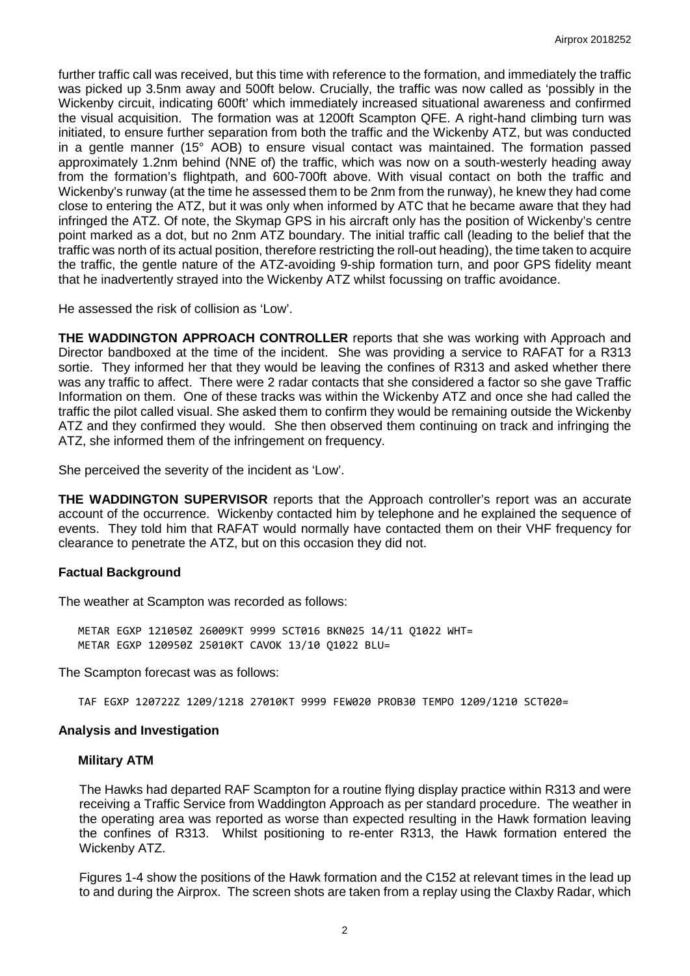further traffic call was received, but this time with reference to the formation, and immediately the traffic was picked up 3.5nm away and 500ft below. Crucially, the traffic was now called as 'possibly in the Wickenby circuit, indicating 600ft' which immediately increased situational awareness and confirmed the visual acquisition. The formation was at 1200ft Scampton QFE. A right-hand climbing turn was initiated, to ensure further separation from both the traffic and the Wickenby ATZ, but was conducted in a gentle manner (15° AOB) to ensure visual contact was maintained. The formation passed approximately 1.2nm behind (NNE of) the traffic, which was now on a south-westerly heading away from the formation's flightpath, and 600-700ft above. With visual contact on both the traffic and Wickenby's runway (at the time he assessed them to be 2nm from the runway), he knew they had come close to entering the ATZ, but it was only when informed by ATC that he became aware that they had infringed the ATZ. Of note, the Skymap GPS in his aircraft only has the position of Wickenby's centre point marked as a dot, but no 2nm ATZ boundary. The initial traffic call (leading to the belief that the traffic was north of its actual position, therefore restricting the roll-out heading), the time taken to acquire the traffic, the gentle nature of the ATZ-avoiding 9-ship formation turn, and poor GPS fidelity meant that he inadvertently strayed into the Wickenby ATZ whilst focussing on traffic avoidance.

He assessed the risk of collision as 'Low'.

**THE WADDINGTON APPROACH CONTROLLER** reports that she was working with Approach and Director bandboxed at the time of the incident. She was providing a service to RAFAT for a R313 sortie. They informed her that they would be leaving the confines of R313 and asked whether there was any traffic to affect. There were 2 radar contacts that she considered a factor so she gave Traffic Information on them. One of these tracks was within the Wickenby ATZ and once she had called the traffic the pilot called visual. She asked them to confirm they would be remaining outside the Wickenby ATZ and they confirmed they would. She then observed them continuing on track and infringing the ATZ, she informed them of the infringement on frequency.

She perceived the severity of the incident as 'Low'.

**THE WADDINGTON SUPERVISOR** reports that the Approach controller's report was an accurate account of the occurrence. Wickenby contacted him by telephone and he explained the sequence of events. They told him that RAFAT would normally have contacted them on their VHF frequency for clearance to penetrate the ATZ, but on this occasion they did not.

## **Factual Background**

The weather at Scampton was recorded as follows:

METAR EGXP 121050Z 26009KT 9999 SCT016 BKN025 14/11 Q1022 WHT= METAR EGXP 120950Z 25010KT CAVOK 13/10 Q1022 BLU=

The Scampton forecast was as follows:

TAF EGXP 120722Z 1209/1218 27010KT 9999 FEW020 PROB30 TEMPO 1209/1210 SCT020=

## **Analysis and Investigation**

## **Military ATM**

The Hawks had departed RAF Scampton for a routine flying display practice within R313 and were receiving a Traffic Service from Waddington Approach as per standard procedure. The weather in the operating area was reported as worse than expected resulting in the Hawk formation leaving the confines of R313. Whilst positioning to re-enter R313, the Hawk formation entered the Wickenby ATZ.

Figures 1-4 show the positions of the Hawk formation and the C152 at relevant times in the lead up to and during the Airprox. The screen shots are taken from a replay using the Claxby Radar, which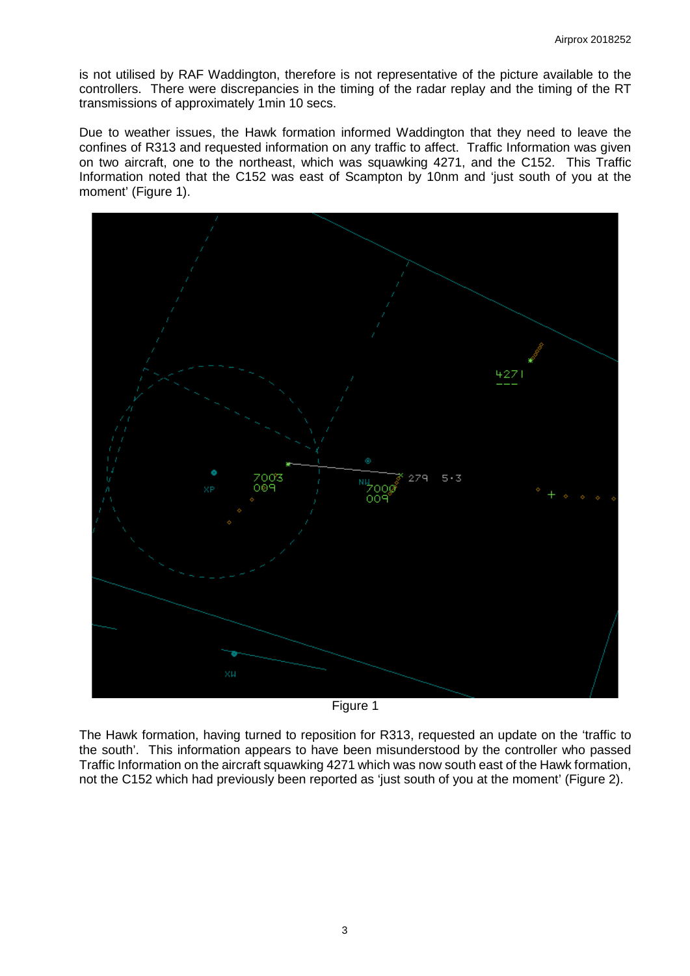is not utilised by RAF Waddington, therefore is not representative of the picture available to the controllers. There were discrepancies in the timing of the radar replay and the timing of the RT transmissions of approximately 1min 10 secs.

Due to weather issues, the Hawk formation informed Waddington that they need to leave the confines of R313 and requested information on any traffic to affect. Traffic Information was given on two aircraft, one to the northeast, which was squawking 4271, and the C152. This Traffic Information noted that the C152 was east of Scampton by 10nm and 'just south of you at the moment' (Figure 1).



Figure 1

The Hawk formation, having turned to reposition for R313, requested an update on the 'traffic to the south'. This information appears to have been misunderstood by the controller who passed Traffic Information on the aircraft squawking 4271 which was now south east of the Hawk formation, not the C152 which had previously been reported as 'just south of you at the moment' (Figure 2).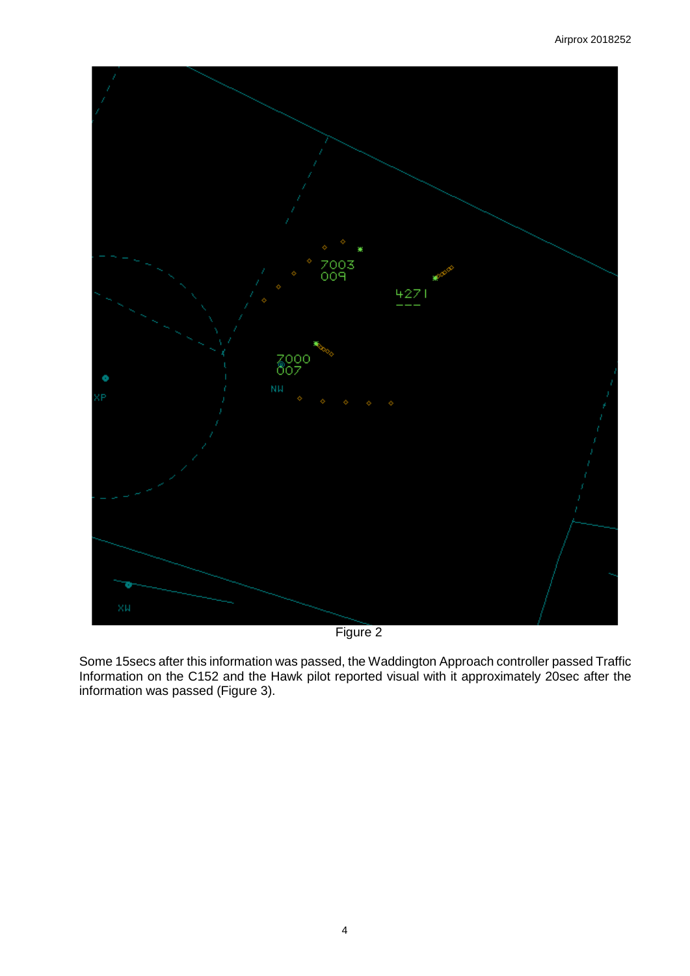

Figure 2

Some 15secs after this information was passed, the Waddington Approach controller passed Traffic Information on the C152 and the Hawk pilot reported visual with it approximately 20sec after the information was passed (Figure 3).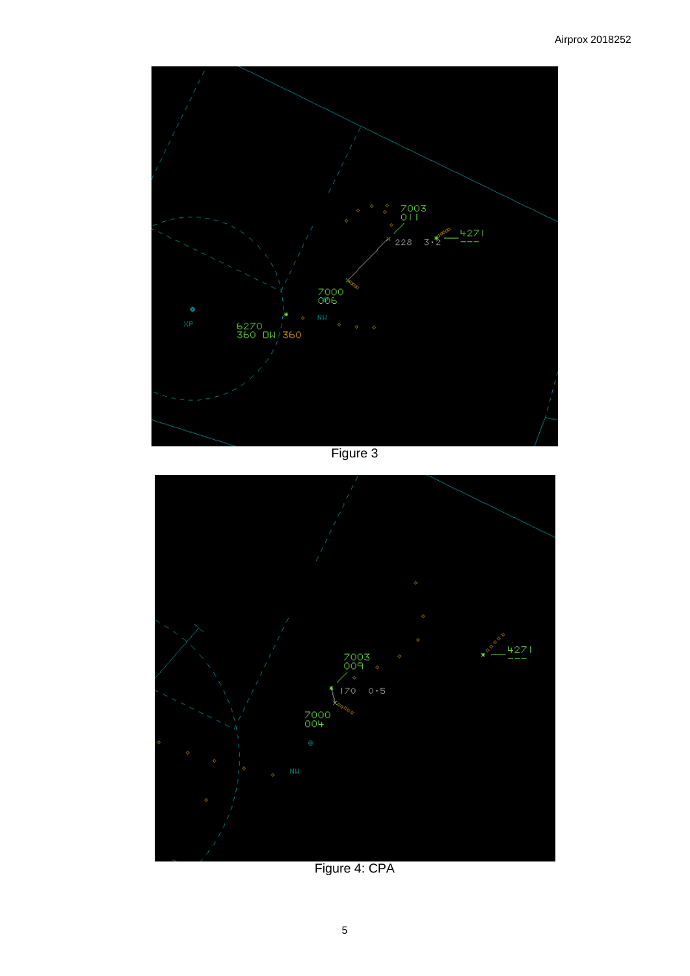

Figure 3



Figure 4: CPA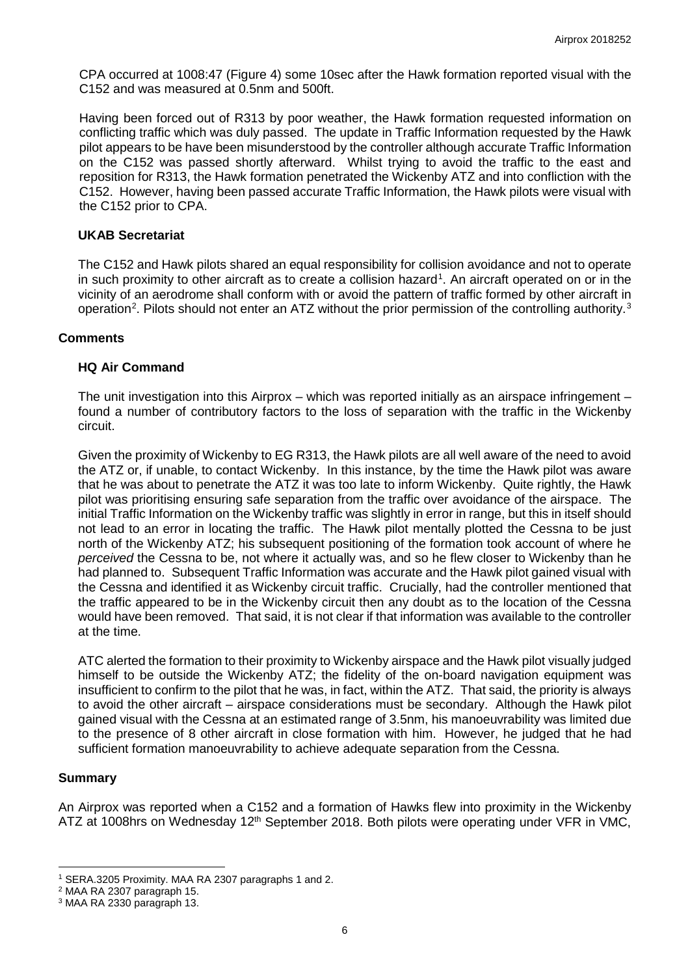CPA occurred at 1008:47 (Figure 4) some 10sec after the Hawk formation reported visual with the C152 and was measured at 0.5nm and 500ft.

Having been forced out of R313 by poor weather, the Hawk formation requested information on conflicting traffic which was duly passed. The update in Traffic Information requested by the Hawk pilot appears to be have been misunderstood by the controller although accurate Traffic Information on the C152 was passed shortly afterward. Whilst trying to avoid the traffic to the east and reposition for R313, the Hawk formation penetrated the Wickenby ATZ and into confliction with the C152. However, having been passed accurate Traffic Information, the Hawk pilots were visual with the C152 prior to CPA.

## **UKAB Secretariat**

The C152 and Hawk pilots shared an equal responsibility for collision avoidance and not to operate in such proximity to other aircraft as to create a collision hazard<sup>[1](#page-5-0)</sup>. An aircraft operated on or in the vicinity of an aerodrome shall conform with or avoid the pattern of traffic formed by other aircraft in operation<sup>[2](#page-5-1)</sup>. Pilots should not enter an ATZ without the prior permission of the controlling authority.<sup>[3](#page-5-2)</sup>

## **Comments**

## **HQ Air Command**

The unit investigation into this Airprox – which was reported initially as an airspace infringement – found a number of contributory factors to the loss of separation with the traffic in the Wickenby circuit.

Given the proximity of Wickenby to EG R313, the Hawk pilots are all well aware of the need to avoid the ATZ or, if unable, to contact Wickenby. In this instance, by the time the Hawk pilot was aware that he was about to penetrate the ATZ it was too late to inform Wickenby. Quite rightly, the Hawk pilot was prioritising ensuring safe separation from the traffic over avoidance of the airspace. The initial Traffic Information on the Wickenby traffic was slightly in error in range, but this in itself should not lead to an error in locating the traffic. The Hawk pilot mentally plotted the Cessna to be just north of the Wickenby ATZ; his subsequent positioning of the formation took account of where he *perceived* the Cessna to be, not where it actually was, and so he flew closer to Wickenby than he had planned to. Subsequent Traffic Information was accurate and the Hawk pilot gained visual with the Cessna and identified it as Wickenby circuit traffic. Crucially, had the controller mentioned that the traffic appeared to be in the Wickenby circuit then any doubt as to the location of the Cessna would have been removed. That said, it is not clear if that information was available to the controller at the time.

ATC alerted the formation to their proximity to Wickenby airspace and the Hawk pilot visually judged himself to be outside the Wickenby ATZ; the fidelity of the on-board navigation equipment was insufficient to confirm to the pilot that he was, in fact, within the ATZ. That said, the priority is always to avoid the other aircraft – airspace considerations must be secondary. Although the Hawk pilot gained visual with the Cessna at an estimated range of 3.5nm, his manoeuvrability was limited due to the presence of 8 other aircraft in close formation with him. However, he judged that he had sufficient formation manoeuvrability to achieve adequate separation from the Cessna.

## **Summary**

 $\overline{\phantom{a}}$ 

An Airprox was reported when a C152 and a formation of Hawks flew into proximity in the Wickenby ATZ at 1008hrs on Wednesday 12<sup>th</sup> September 2018. Both pilots were operating under VFR in VMC,

<span id="page-5-0"></span><sup>1</sup> SERA.3205 Proximity. MAA RA 2307 paragraphs 1 and 2.

<span id="page-5-1"></span><sup>2</sup> MAA RA 2307 paragraph 15.

<span id="page-5-2"></span><sup>3</sup> MAA RA 2330 paragraph 13.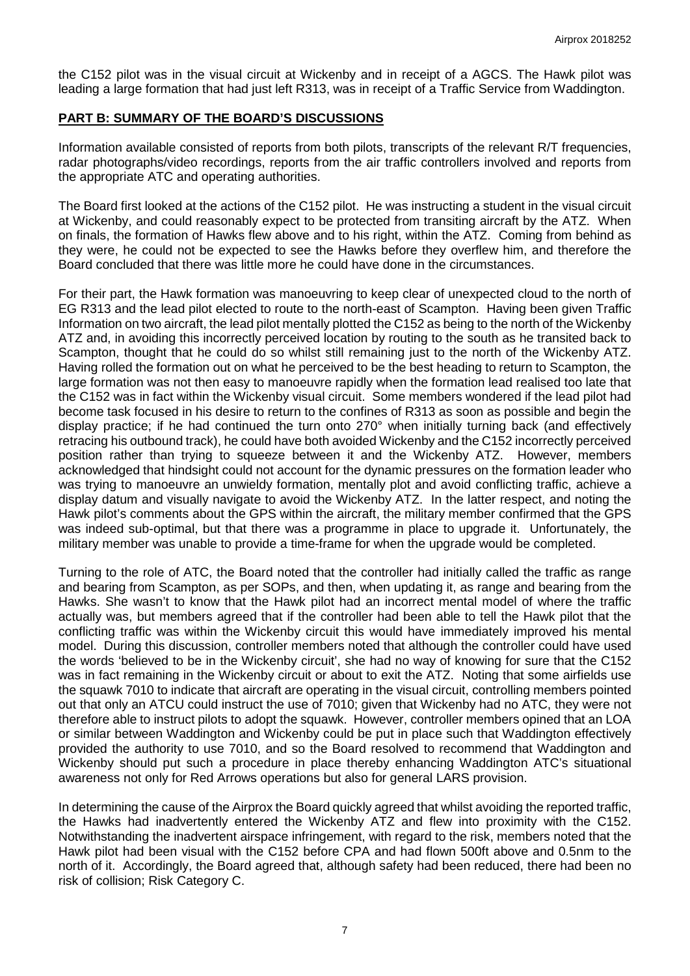the C152 pilot was in the visual circuit at Wickenby and in receipt of a AGCS. The Hawk pilot was leading a large formation that had just left R313, was in receipt of a Traffic Service from Waddington.

# **PART B: SUMMARY OF THE BOARD'S DISCUSSIONS**

Information available consisted of reports from both pilots, transcripts of the relevant R/T frequencies, radar photographs/video recordings, reports from the air traffic controllers involved and reports from the appropriate ATC and operating authorities.

The Board first looked at the actions of the C152 pilot. He was instructing a student in the visual circuit at Wickenby, and could reasonably expect to be protected from transiting aircraft by the ATZ. When on finals, the formation of Hawks flew above and to his right, within the ATZ. Coming from behind as they were, he could not be expected to see the Hawks before they overflew him, and therefore the Board concluded that there was little more he could have done in the circumstances.

For their part, the Hawk formation was manoeuvring to keep clear of unexpected cloud to the north of EG R313 and the lead pilot elected to route to the north-east of Scampton. Having been given Traffic Information on two aircraft, the lead pilot mentally plotted the C152 as being to the north of the Wickenby ATZ and, in avoiding this incorrectly perceived location by routing to the south as he transited back to Scampton, thought that he could do so whilst still remaining just to the north of the Wickenby ATZ. Having rolled the formation out on what he perceived to be the best heading to return to Scampton, the large formation was not then easy to manoeuvre rapidly when the formation lead realised too late that the C152 was in fact within the Wickenby visual circuit. Some members wondered if the lead pilot had become task focused in his desire to return to the confines of R313 as soon as possible and begin the display practice; if he had continued the turn onto 270° when initially turning back (and effectively retracing his outbound track), he could have both avoided Wickenby and the C152 incorrectly perceived position rather than trying to squeeze between it and the Wickenby ATZ. However, members acknowledged that hindsight could not account for the dynamic pressures on the formation leader who was trying to manoeuvre an unwieldy formation, mentally plot and avoid conflicting traffic, achieve a display datum and visually navigate to avoid the Wickenby ATZ. In the latter respect, and noting the Hawk pilot's comments about the GPS within the aircraft, the military member confirmed that the GPS was indeed sub-optimal, but that there was a programme in place to upgrade it. Unfortunately, the military member was unable to provide a time-frame for when the upgrade would be completed.

Turning to the role of ATC, the Board noted that the controller had initially called the traffic as range and bearing from Scampton, as per SOPs, and then, when updating it, as range and bearing from the Hawks. She wasn't to know that the Hawk pilot had an incorrect mental model of where the traffic actually was, but members agreed that if the controller had been able to tell the Hawk pilot that the conflicting traffic was within the Wickenby circuit this would have immediately improved his mental model. During this discussion, controller members noted that although the controller could have used the words 'believed to be in the Wickenby circuit', she had no way of knowing for sure that the C152 was in fact remaining in the Wickenby circuit or about to exit the ATZ. Noting that some airfields use the squawk 7010 to indicate that aircraft are operating in the visual circuit, controlling members pointed out that only an ATCU could instruct the use of 7010; given that Wickenby had no ATC, they were not therefore able to instruct pilots to adopt the squawk. However, controller members opined that an LOA or similar between Waddington and Wickenby could be put in place such that Waddington effectively provided the authority to use 7010, and so the Board resolved to recommend that Waddington and Wickenby should put such a procedure in place thereby enhancing Waddington ATC's situational awareness not only for Red Arrows operations but also for general LARS provision.

In determining the cause of the Airprox the Board quickly agreed that whilst avoiding the reported traffic, the Hawks had inadvertently entered the Wickenby ATZ and flew into proximity with the C152. Notwithstanding the inadvertent airspace infringement, with regard to the risk, members noted that the Hawk pilot had been visual with the C152 before CPA and had flown 500ft above and 0.5nm to the north of it. Accordingly, the Board agreed that, although safety had been reduced, there had been no risk of collision; Risk Category C.